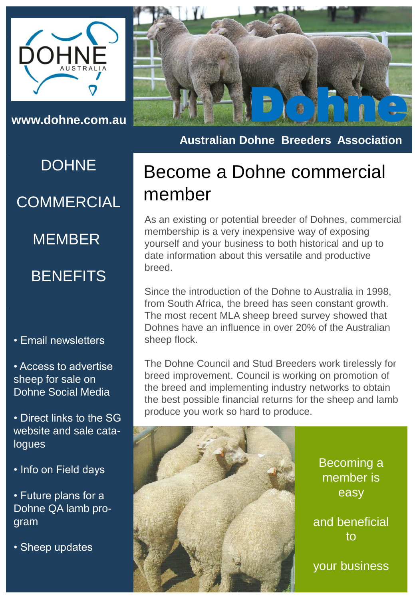

**DOHNE COMMERCIAL** 

MEMBER

#### **BENEFITS**

• Email newsletters

• Access to advertise sheep for sale on Dohne Social Media

• Direct links to the SG website and sale catalogues

• Info on Field days

• Future plans for a Dohne QA lamb program

• Sheep updates



**Australian Dohne Breeders Association**

## Become a Dohne commercial member

As an existing or potential breeder of Dohnes, commercial membership is a very inexpensive way of exposing yourself and your business to both historical and up to date information about this versatile and productive breed.

Since the introduction of the Dohne to Australia in 1998, from South Africa, the breed has seen constant growth. The most recent MLA sheep breed survey showed that Dohnes have an influence in over 20% of the Australian sheep flock.

The Dohne Council and Stud Breeders work tirelessly for breed improvement. Council is working on promotion of the breed and implementing industry networks to obtain the best possible financial returns for the sheep and lamb produce you work so hard to produce.



Becoming a member is easy

and beneficial to

your business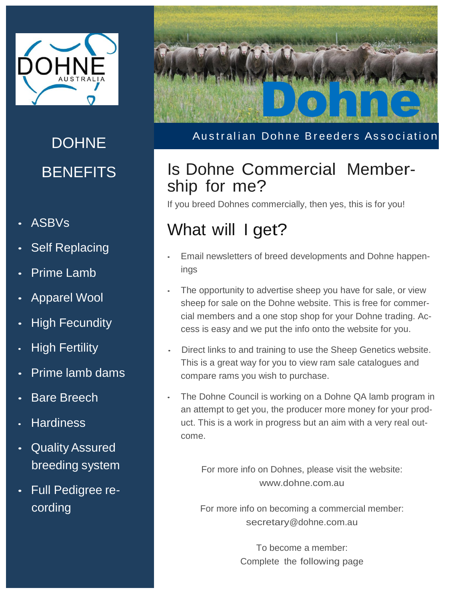

# **DOHNE BENEFITS**

- ASBVs
- Self Replacing
- Prime Lamb
- Apparel Wool
- **High Fecundity**
- **High Fertility**
- Prime lamb dams
- **Bare Breech**
- **Hardiness**
- Quality Assured breeding system
- Full Pedigree recording



Australian Dohne Breeders Association

### Is Dohne Commercial Membership for me?

If you breed Dohnes commercially, then yes, this is for you!

## What will I get?

- Email newsletters of breed developments and Dohne happenings
- The opportunity to advertise sheep you have for sale, or view sheep for sale on the Dohne website. This is free for commercial members and a one stop shop for your Dohne trading. Access is easy and we put the info onto the website for you.
- Direct links to and training to use the Sheep Genetics website. This is a great way for you to view ram sale catalogues and compare rams you wish to purchase.
- The Dohne Council is working on a Dohne QA lamb program in an attempt to get you, the producer more money for your product. This is a work in progress but an aim with a very real outcome.

For more info on Dohnes, please visit the website: [www.dohne.com.au](http://www.dohne.com.au/)

For more info on becoming a commercial member: [secretary@dohne.com.au](mailto:rmartin@adelaideshowground.com.au)

> To become a member: Complete the following page